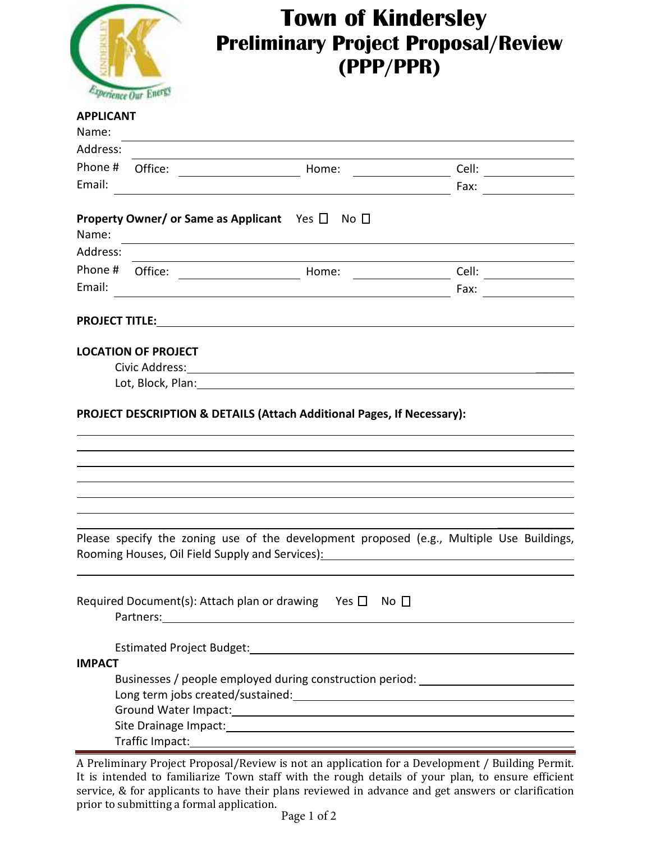

## **Town of Kindersley Preliminary Project Proposal/Review (PPP/PPR)**

## **APPLICANT**

| Name:         |                            |                                                                                                                                                                                                           |                       |
|---------------|----------------------------|-----------------------------------------------------------------------------------------------------------------------------------------------------------------------------------------------------------|-----------------------|
| Address:      |                            |                                                                                                                                                                                                           |                       |
| Phone #       | Office:                    | Home:                                                                                                                                                                                                     |                       |
| Email:        |                            |                                                                                                                                                                                                           | Fax:                  |
|               |                            |                                                                                                                                                                                                           |                       |
|               |                            | <b>Property Owner/ or Same as Applicant</b> Yes $\Box$ No $\Box$                                                                                                                                          |                       |
| Name:         |                            |                                                                                                                                                                                                           |                       |
| Address:      |                            | <u> 1980 - Johann Barn, mars ann an t-Amhain Aonaich an t-Aonaich an t-Aonaich ann an t-Aonaich ann an t-Aonaich</u>                                                                                      |                       |
| Phone #       |                            | $\overline{\phantom{a}}$ . The contract of $\overline{\phantom{a}}$                                                                                                                                       | Cell: $\qquad \qquad$ |
| Email:        |                            |                                                                                                                                                                                                           | Fax:                  |
|               |                            |                                                                                                                                                                                                           |                       |
|               |                            |                                                                                                                                                                                                           |                       |
|               |                            |                                                                                                                                                                                                           |                       |
|               | <b>LOCATION OF PROJECT</b> |                                                                                                                                                                                                           |                       |
|               |                            |                                                                                                                                                                                                           |                       |
|               |                            |                                                                                                                                                                                                           |                       |
|               |                            |                                                                                                                                                                                                           |                       |
|               |                            | Please specify the zoning use of the development proposed (e.g., Multiple Use Buildings,<br>Rooming Houses, Oil Field Supply and Services): Manual Assembly Rooming Houses, Oil Field Supply and Services |                       |
|               |                            | Required Document(s): Attach plan or drawing Yes $\Box$ No $\Box$                                                                                                                                         |                       |
|               |                            |                                                                                                                                                                                                           |                       |
| <b>IMPACT</b> |                            |                                                                                                                                                                                                           |                       |
|               |                            | Businesses / people employed during construction period: _______________________                                                                                                                          |                       |
|               |                            | Long term jobs created/sustained:<br>Management of the contract of the contract of the contract of the contract of the contract of the contract of                                                        |                       |
|               |                            |                                                                                                                                                                                                           |                       |
|               |                            |                                                                                                                                                                                                           |                       |
|               |                            |                                                                                                                                                                                                           |                       |

A Preliminary Project Proposal/Review is not an application for a Development / Building Permit. It is intended to familiarize Town staff with the rough details of your plan, to ensure efficient service, & for applicants to have their plans reviewed in advance and get answers or clarification prior to submitting a formal application.